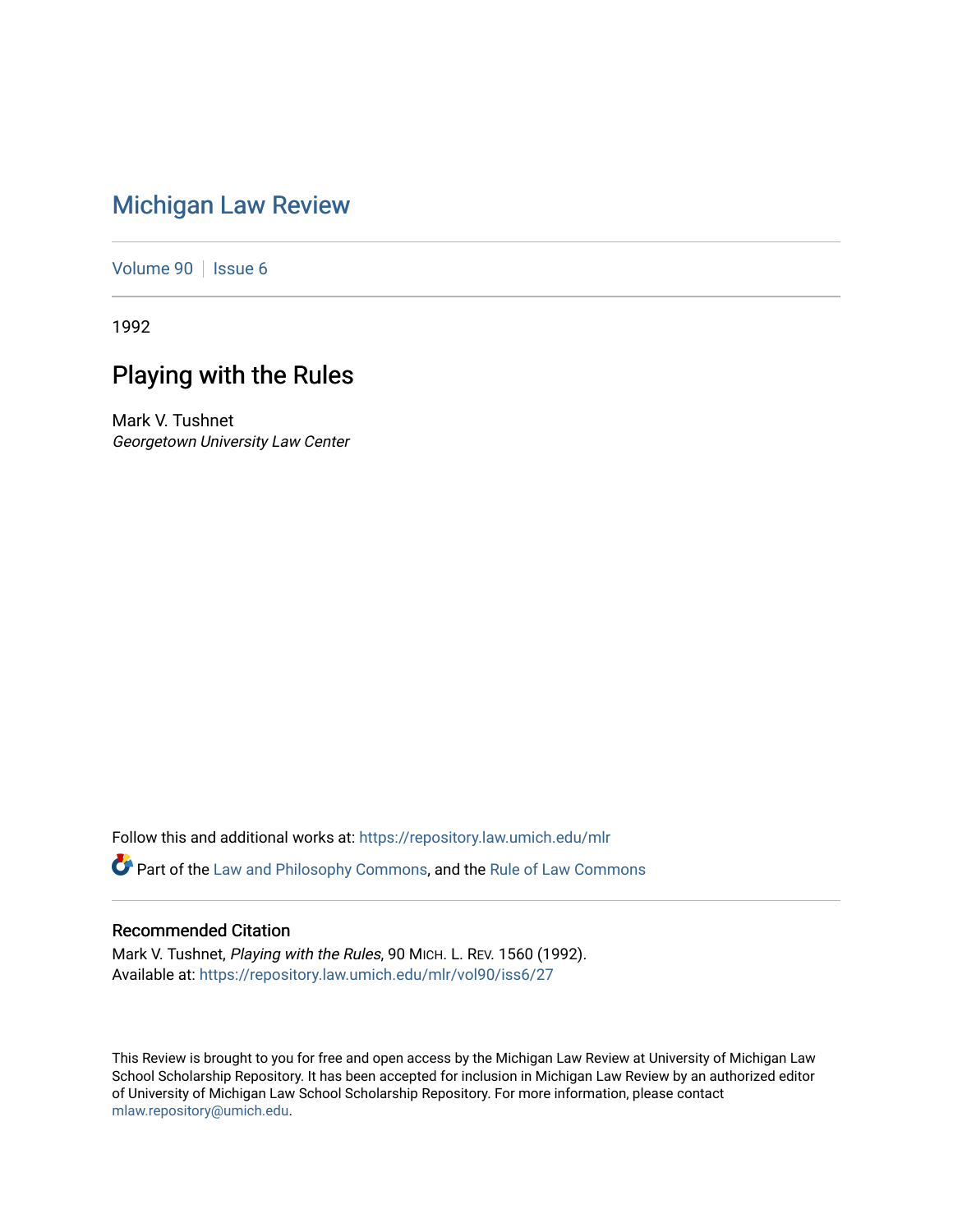# [Michigan Law Review](https://repository.law.umich.edu/mlr)

[Volume 90](https://repository.law.umich.edu/mlr/vol90) | [Issue 6](https://repository.law.umich.edu/mlr/vol90/iss6)

1992

## Playing with the Rules

Mark V. Tushnet Georgetown University Law Center

Follow this and additional works at: [https://repository.law.umich.edu/mlr](https://repository.law.umich.edu/mlr?utm_source=repository.law.umich.edu%2Fmlr%2Fvol90%2Fiss6%2F27&utm_medium=PDF&utm_campaign=PDFCoverPages) 

Part of the [Law and Philosophy Commons,](http://network.bepress.com/hgg/discipline/1299?utm_source=repository.law.umich.edu%2Fmlr%2Fvol90%2Fiss6%2F27&utm_medium=PDF&utm_campaign=PDFCoverPages) and the [Rule of Law Commons](http://network.bepress.com/hgg/discipline/1122?utm_source=repository.law.umich.edu%2Fmlr%2Fvol90%2Fiss6%2F27&utm_medium=PDF&utm_campaign=PDFCoverPages)

#### Recommended Citation

Mark V. Tushnet, Playing with the Rules, 90 MICH. L. REV. 1560 (1992). Available at: [https://repository.law.umich.edu/mlr/vol90/iss6/27](https://repository.law.umich.edu/mlr/vol90/iss6/27?utm_source=repository.law.umich.edu%2Fmlr%2Fvol90%2Fiss6%2F27&utm_medium=PDF&utm_campaign=PDFCoverPages) 

This Review is brought to you for free and open access by the Michigan Law Review at University of Michigan Law School Scholarship Repository. It has been accepted for inclusion in Michigan Law Review by an authorized editor of University of Michigan Law School Scholarship Repository. For more information, please contact [mlaw.repository@umich.edu.](mailto:mlaw.repository@umich.edu)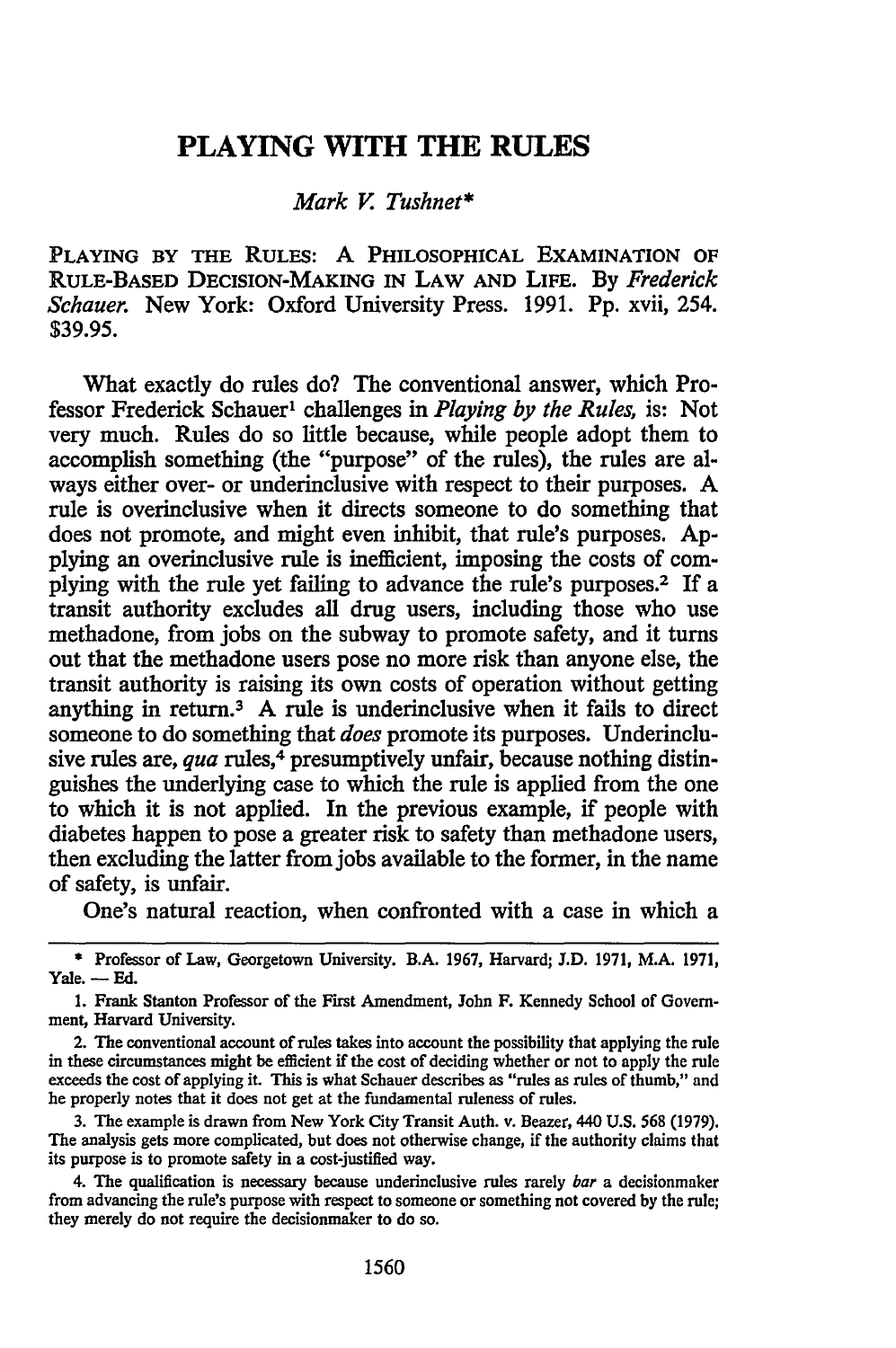### **PLAYING WITH THE RULES**

#### *Mark V. Tushnet\**

PLAYING BY THE RULES: A PHILOSOPHICAL EXAMINATION OF RULE-BASED DECISION-MAKING IN LAW AND LIFE. By *Frederick Schauer.* New York: Oxford University Press. 1991. Pp. xvii, 254. \$39.95.

What exactly do rules do? The conventional answer, which Professor Frederick Schauer1 challenges in *Playing by the Rules,* is: Not very much. Rules do so little because, while people adopt them to accomplish something (the "purpose" of the rules), the rules are always either over- or underinclusive with respect to their purposes. A rule is overinclusive when it directs someone to do something that does not promote, and might even inhibit, that rule's purposes. Applying an overinclusive rule is inefficient, imposing the costs of complying with the rule yet failing to advance the rule's purposes.2 If a transit authority excludes all drug users, including those who use methadone, from jobs on the subway to promote safety, and it turns out that the methadone users pose no more risk than anyone else, the transit authority is raising its own costs of operation without getting anything in return.<sup>3</sup> A rule is underinclusive when it fails to direct someone to do something that *does* promote its purposes. Underinclusive rules are, *qua* rules,<sup>4</sup> presumptively unfair, because nothing distinguishes the underlying case to which the rule is applied from the one to which it is not applied. In the previous example, if people with diabetes happen to pose a greater risk to safety than methadone users, then excluding the latter from jobs available to the former, in the name of safety, is unfair.

One's natural reaction, when confronted with a case in which a

4. The qualification is necessary because underinclusive rules rarely *bar* a decisionmaker from advancing the rule's purpose with respect to someone or something not covered by the rule; they merely do not require the decisionmaker to do so.

<sup>\*</sup> Professor of Law, Georgetown University. B.A. 1967, Harvard; J.D. 1971, M.A. 1971,  $Yale. - Ed.$ 

<sup>1.</sup> Frank Stanton Professor of the First Amendment, John F. Kennedy School of Government, Harvard University.

<sup>2.</sup> The conventional account of rules takes into account the possibility that applying the rule in these circumstances might be efficient if the cost of deciding whether or not to apply the rule exceeds the cost of applying it. This is what Schauer describes as "rules as rules of thumb,'' and he properly notes that it does not get at the fundamental ruleness of rules.

<sup>3.</sup> The example is drawn from New York City Transit Auth. v. Beazer, 440 U.S. 568 (1979). The analysis gets more complicated, but does not otherwise change, if the authority claims that its purpose is to promote safety in a cost-justified way.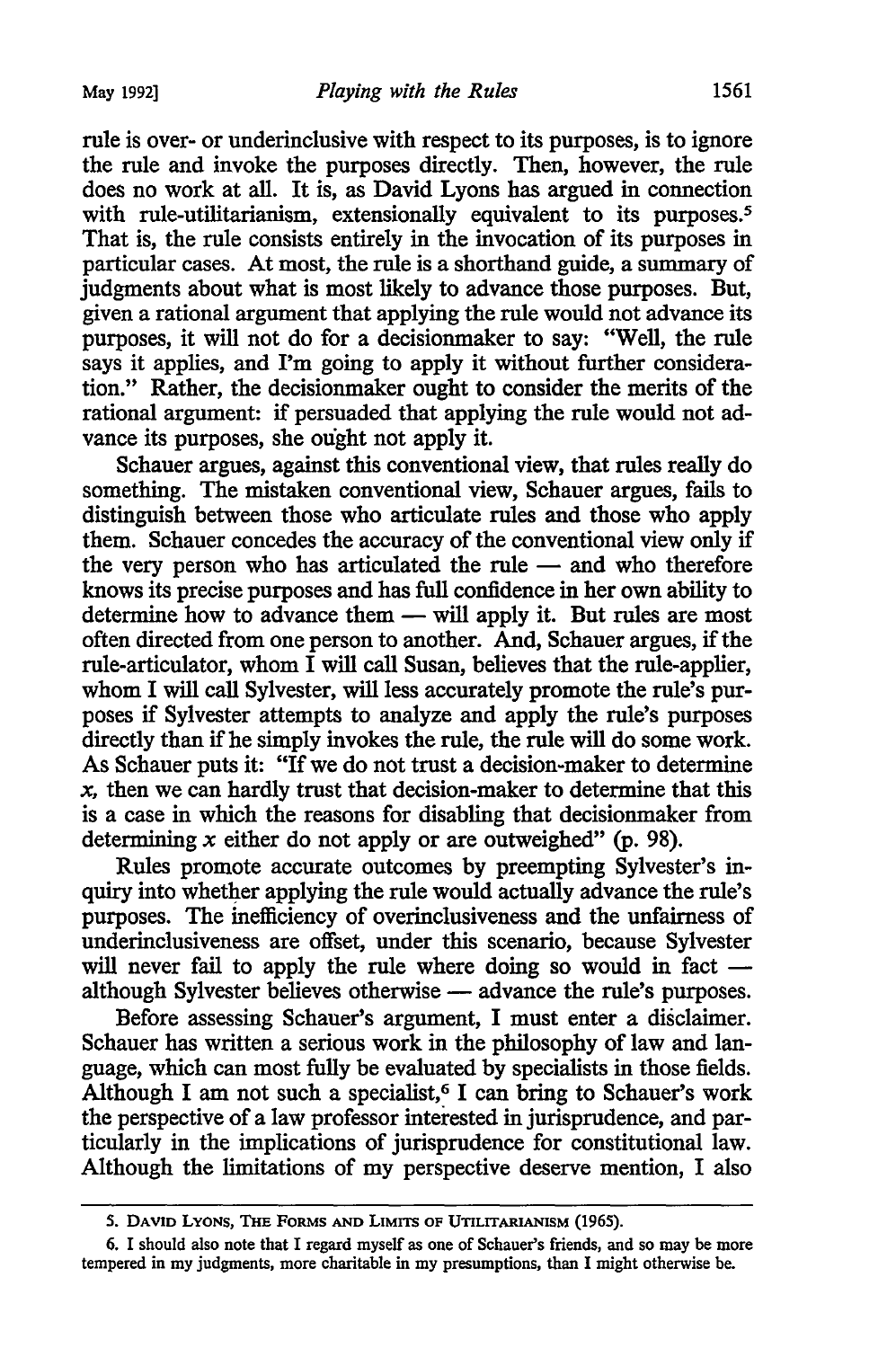rule is over- or underinclusive with respect to its purposes, is to ignore the rule and invoke the purposes directly. Then, however, the rule does no work at all. It is, as David Lyons has argued in connection with rule-utilitarianism, extensionally equivalent to its purposes.<sup>5</sup> That is, the rule consists entirely in the invocation of its purposes in particular cases. At *most,* the rule is a shorthand guide, a summary of judgments about what is most likely to advance those purposes. But, given a rational argument that applying the rule would not advance its purposes, it will not do for a decisionmaker to say: "Well, the rule says it applies, and I'm going to apply it without further consideration." Rather, the decisionmaker ought to consider the merits of the rational argument: if persuaded that applying the rule would not advance its purposes, she ought not apply it.

Schauer argues, against this conventional view, that rules really do something. The mistaken conventional view, Schauer argues, fails to distinguish between those who articulate rules and those who apply them. Schauer concedes the accuracy of the conventional view only if the very person who has articulated the rule  $-$  and who therefore knows its precise purposes and has full confidence in her own ability to determine how to advance them - will apply it. But rules are most often directed from one person to another. And, Schauer argues, if the rule-articulator, whom  $\bar{I}$  will call Susan, believes that the rule-applier, whom I will call Sylvester, will less accurately promote the rule's purposes if Sylvester attempts to analyze and apply the rule's purposes directly than if he simply invokes the rule, the rule will do some work. As Schauer puts it: "If we do not trust a decision-maker to determine *x,* then we can hardly trust that decision-maker to determine that this is a case in which the reasons for disabling that decisionmaker from determining  $x$  either do not apply or are outweighed" (p. 98).

Rules promote accurate outcomes by preempting Sylvester's inquiry into whether applying the rule would actually advance the rule's purposes. The inefficiency of overinclusiveness and the unfairness of underinclusiveness are offset, under this scenario, because Sylvester will never fail to apply the rule where doing so would in fact  $$ although Sylvester believes otherwise - advance the rule's purposes.

Before assessing Schauer's argument, I must enter a disclaimer. Schauer has written a serious work in the philosophy of law and language, which can most fully be evaluated by specialists in those fields. Although I am not such a specialist,<sup>6</sup> I can bring to Schauer's work the perspective of a law professor interested in jurisprudence, and particularly in the implications of jurisprudence for constitutional law. Although the limitations of my perspective deserve mention, I also

*<sup>5.</sup>* DAVID LYONS, TuE FORMS AND LIMITS OF UTILITARIANISM (1965).

<sup>6.</sup> I should also note that I regard myself as one of Schauer's friends, and so may be more tempered in my judgments, more charitable in my presumptions, than I might otherwise be.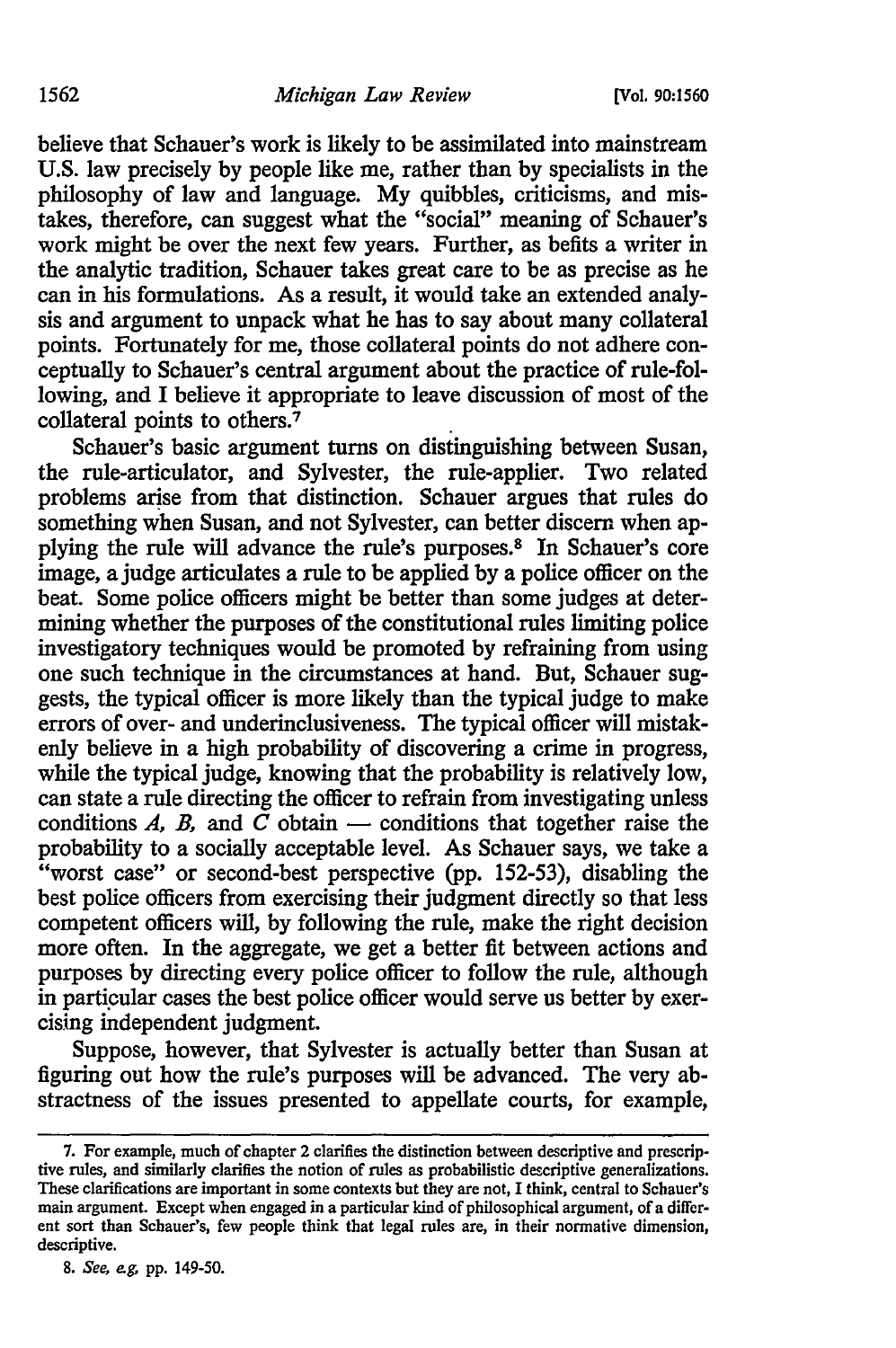believe that Schauer's work is likely to be assimilated into mainstream U.S. law precisely by people like me, rather than by specialists in the philosophy of law and language. My quibbles, criticisms, and mistakes, therefore, can suggest what the "social" meaning of Schauer's work might be over the next few years. Further, as befits a writer in the analytic tradition, Schauer takes great care to be as precise as he can in his formulations. As a result, it would take an extended analysis and argument to unpack what he has to say about many collateral points. Fortunately for me, those collateral points do not adhere conceptually to Schauer's central argument about the practice of rule-following, and I believe it appropriate to leave discussion of most of the collateral points to others.<sup>7</sup>

Schauer's basic argument turns on distinguishing between Susan, the rule-articulator, and Sylvester, the rule-applier. Two related problems arise from that distinction. Schauer argues that rules do something when Susan, and not Sylvester, can better discern when applying the rule will advance the rule's purposes.<sup>8</sup> In Schauer's core image, a judge articulates a rule to be applied by a police officer on the beat. Some police officers might be better than some judges at determining whether the purposes of the constitutional rules limiting police investigatory techniques would be promoted by refraining from using one such technique in the circumstances at hand. But, Schauer suggests, the typical officer is more likely than the typical judge to make errors of over- and underinclusiveness. The typical officer will mistakenly believe in a high probability of discovering a crime in progress, while the typical judge, knowing that the probability is relatively low, can state a rule directing the officer to refrain from investigating unless conditions A, B, and  $\tilde{C}$  obtain - conditions that together raise the probability to a socially acceptable level. As Schauer says, we take a "worst case" or second-best perspective (pp. 152-53), disabling the best police officers from exercising their judgment directly so that less competent officers will, by following the rule, make the right decision more often. In the aggregate, we get a better fit between actions and purposes by directing every police officer to follow the rule, although in particular cases the best police officer would serve us better by exercising independent judgment.

Suppose, however, that Sylvester is actually better than Susan at figuring out how the rule's purposes will be advanced. The very abstractness of the issues presented to appellate courts, for example,

8. *See, e.g.* pp. 149-50.

<sup>7.</sup> For example, much of chapter 2 clarifies the distinction between descriptive and prescrip· tive rules, and similarly clarifies the notion of rules as probabilistic descriptive generalizations. These clarifications are important in some contexts but they are not, I think, central to Schauer's main argument. Except when engaged in a particular kind of philosophical argument, of a different sort than Schauer's, few people think that legal rules are, in their normative dimension, descriptive.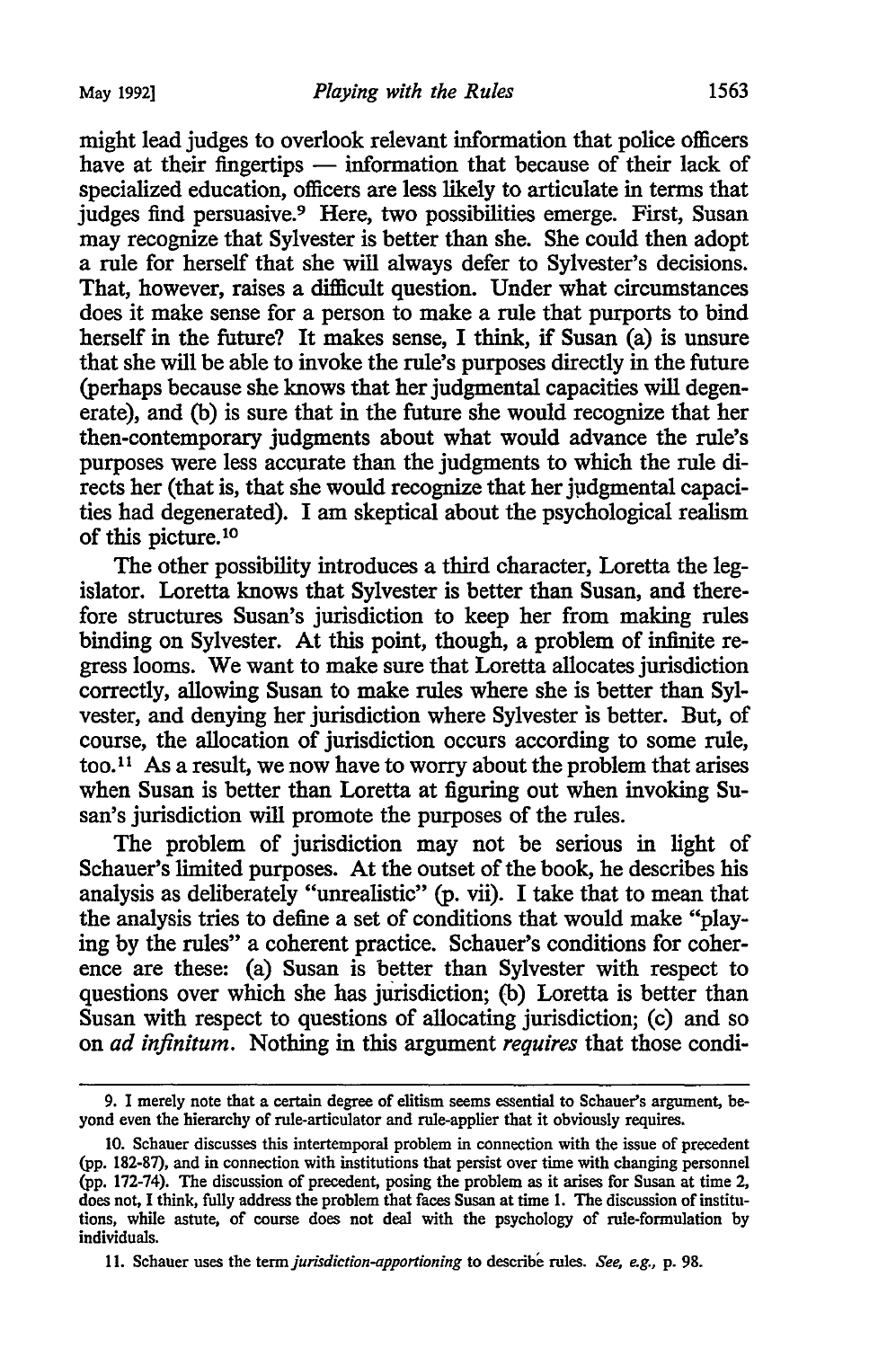might lead judges to overlook relevant information that police officers have at their fingertips — information that because of their lack of specialized education, officers are less likely to articulate in terms that judges find persuasive.<sup>9</sup> Here, two possibilities emerge. First, Susan may recognize that Sylvester is better than she. She could then adopt a rule for herself that she will always defer to Sylvester's decisions. That, however, raises a difficult question. Under what circumstances does it make sense for a person to make a rule that purports to bind herself in the future? It makes sense, I think, if Susan (a) is unsure that she will be able to invoke the rule's purposes directly in the future (perhaps because she knows that her judgmental capacities will degenerate), and (b) is sure that in the future she would recognize that her then-contemporary judgments about what would advance the rule's purposes were less accurate than the judgments to which the rule directs her (that is, that she would recognize that her judgmental capacities had degenerated). I am skeptical about the psychological realism of this picture.<sup>10</sup>

The other possibility introduces a third character, Loretta the legislator. Loretta knows that Sylvester is better than Susan, and therefore structures Susan's jurisdiction to keep her from making rules binding on Sylvester. At this point, though, a problem of infinite regress looms. We want to make sure that Loretta allocates jurisdiction correctly, allowing Susan to make rules where she is better than Sylvester, and denying her jurisdiction where Sylvester is better. But, of course, the allocation of jurisdiction occurs according to some rule, too.<sup>11</sup> As a result, we now have to worry about the problem that arises when Susan is better than Loretta at figuring out when invoking Susan's jurisdiction will promote the purposes of the rules.

The problem of jurisdiction may not be serious in light of Schauer's limited purposes. At the outset of the book, he describes his analysis as deliberately "unrealistic" (p. vii). I take that to mean that the analysis tries to define a set of conditions that would make "playing by the rules" a coherent practice. Schauer's conditions for coherence are these: (a) Susan is better than Sylvester with respect to questions over which she has jurisdiction; (b) Loretta is better than  $\tilde{S}$ usan with respect to questions of allocating jurisdiction; (c) and so on *ad infinitum.* Nothing in this argument *requires* that those condi-

<sup>9.</sup> I merely note that a certain degree of elitism seems essential to Schauer's argument, beyond even the hierarchy of rule-articulator and rule-applier that it obviously requires.

<sup>10.</sup> Schauer discusses this intertemporal problem in connection with the issue of precedent (pp. 182-87), and in connection with institutions that persist over time with changing personnel (pp. 172-74). The discussion of precedent, posing the problem as it arises for Susan at time 2, does not, I think, fully address the problem that faces Susan at time 1. The discussion of institutions, while astute, of course does not deal with the psychology of rule-formulation by individuals.

<sup>11.</sup> Schauer uses the term *jurisdiction-apportioning* to describe rules. *See, e.g.,* p. 98.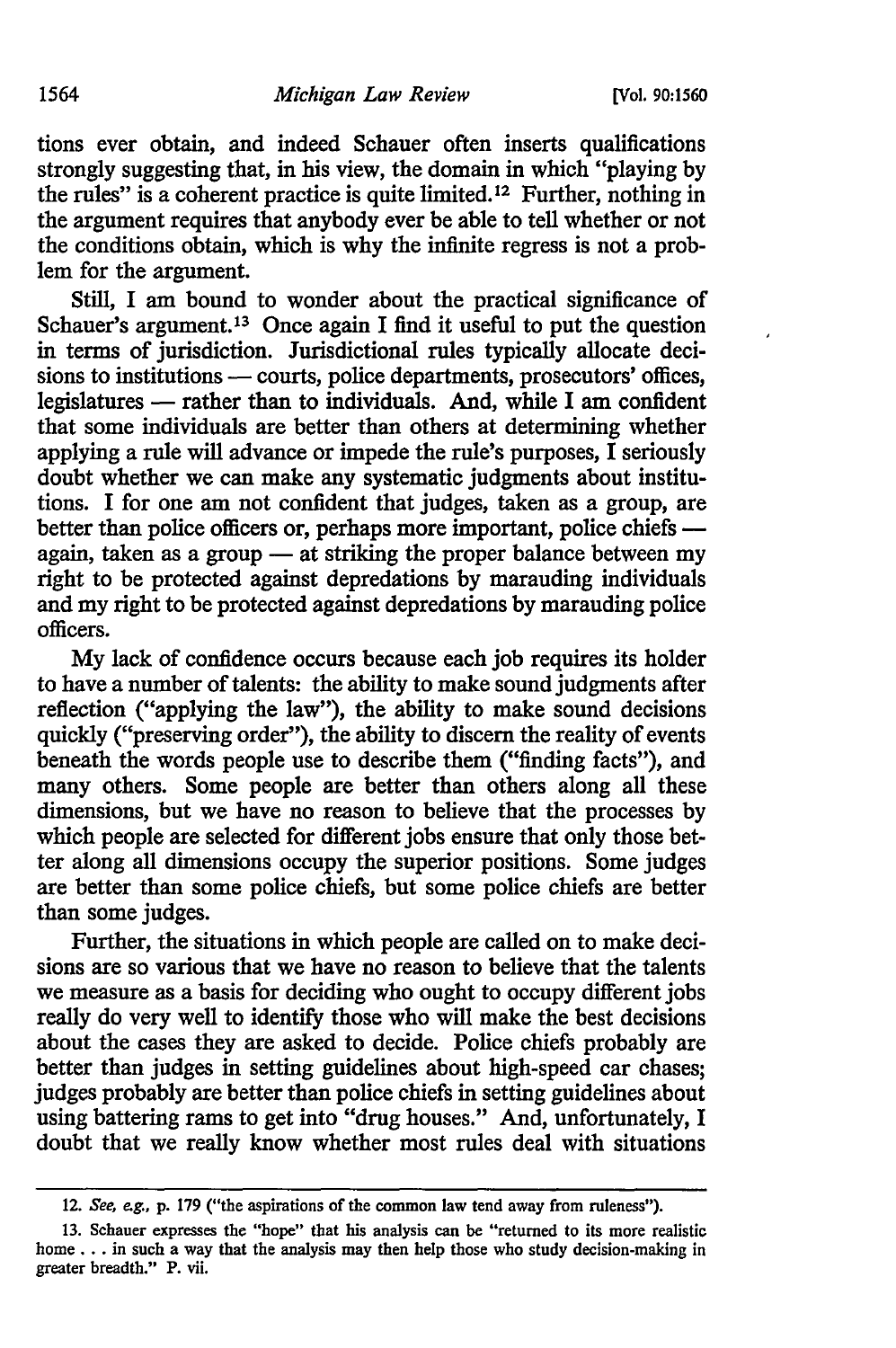tions ever obtain, and indeed Schauer often inserts qualifications strongly suggesting that, in his view, the domain in which "playing by the rules" is a coherent practice is quite limited.<sup>12</sup> Further, nothing in the argument requires that anybody ever be able to tell whether or not the conditions obtain, which is why the infinite regress is not a problem for the argument.

Still, I am bound to wonder about the practical significance of Schauer's argument.<sup>13</sup> Once again I find it useful to put the question in terms of jurisdiction. Jurisdictional rules typically allocate decisions to institutions — courts, police departments, prosecutors' offices, legislatures - rather than to individuals. And, while I am confident that some individuals are better than others at determining whether applying a rule will advance or impede the rule's purposes,  $\tilde{I}$  seriously doubt whether we can make any systematic judgments about institutions. I for one am not confident that judges, taken as a group, are better than police officers or, perhaps more important, police chiefs again, taken as a group  $-$  at striking the proper balance between my right to be protected against depredations by marauding individuals and my right to be protected against depredations by marauding police officers.

My lack of confidence occurs because each job requires its holder to have a number of talents: the ability to make sound judgments after reflection ("applying the law"), the ability to make sound decisions quickly ("preserving order"), the ability to discern the reality of events beneath the words people use to describe them ("finding facts"), and many others. Some people are better than others along all these dimensions, but we have no reason to believe that the processes by which people are selected for different jobs ensure that only those better along all dimensions occupy the superior positions. Some judges are better than some police chiefs, but some police chiefs are better than some judges.

Further, the situations in which people are called on to make decisions are so various that we have no reason to believe that the talents we measure as a basis for deciding who ought to occupy different jobs really do very well to identify those who will make the best decisions about the cases they are asked to decide. Police chiefs probably are better than judges in setting guidelines about high-speed car chases; judges probably are better than police chiefs in setting guidelines about using battering rams to get into "drug houses." And, unfortunately, I doubt that we really know whether most rules deal with situations

<sup>12.</sup> *See, e.g.,* p. 179 ("the aspirations of the common law tend away from ruleness").

<sup>13.</sup> Schauer expresses the "hope" that his analysis can be "returned to its more realistic home . . . in such a way that the analysis may then help those who study decision-making in greater breadth." P. vii.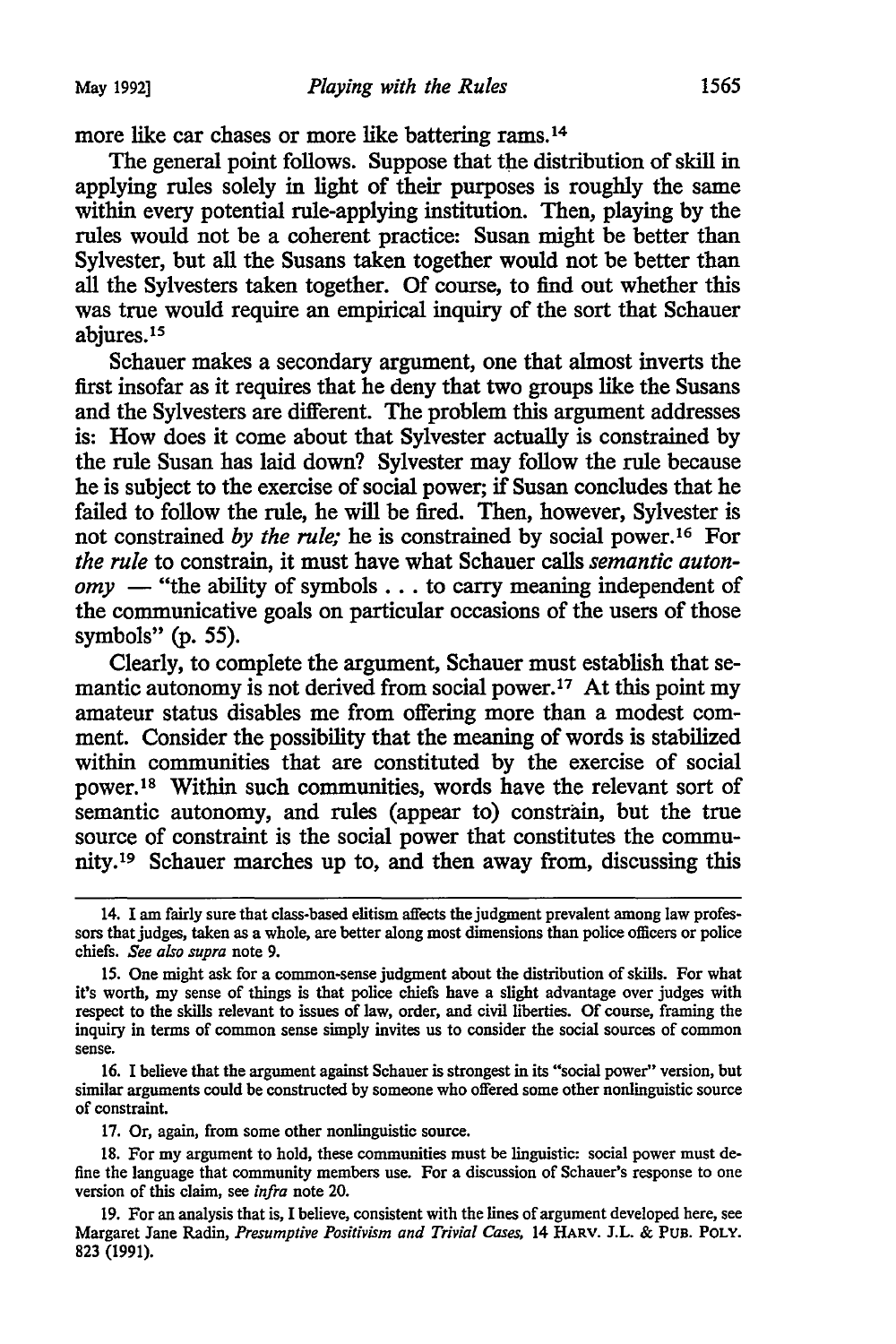more like car chases or more like battering rams.14

The general point follows. Suppose that the distribution of skill in applying rules solely in light of their purposes is roughly the same within every potential rule-applying institution. Then, playing by the rules would not be a coherent practice: Susan might be better than Sylvester, but all the Susans taken together would not be better than all the Sylvesters taken together. Of course, to find out whether this was true would require an empirical inquiry of the sort that Schauer abjures.15

Schauer makes a secondary argument, one that almost inverts the first insofar as it requires that he deny that two groups like the Susans and the Sylvesters are different. The problem this argument addresses is: How does it come about that Sylvester actually is constrained by the rule Susan has laid down? Sylvester may follow the rule because he is subject to the exercise of social power; if Susan concludes that he failed to follow the rule, he will be fired. Then, however, Sylvester is not constrained *by the rule;* he is constrained by social power.16 For *the rule* to constrain, it must have what Schauer calls *semantic autonomy* — "the ability of symbols . . . to carry meaning independent of the communicative goals on particular occasions of the users of those symbols" (p. 55).

Clearly, to complete the argument, Schauer must establish that semantic autonomy is not derived from social power.<sup>17</sup> At this point my amateur status disables me from offering more than a modest comment. Consider the possibility that the meaning of words is stabilized within communities that are constituted by the exercise of social power.18 Within such communities, words have the relevant sort of semantic autonomy, and rules (appear to) constrain, but the true source of constraint is the social power that constitutes the community.19 Schauer marches up to, and then away from, discussing this

16. I believe that the argument against Schauer is strongest in its "social power" version, but similar arguments could be constructed by someone who offered some other nonlinguistic source of constraint.

17. Or, again, from some other nonlinguistic source.

18. For my argument to hold, these communities must be linguistic: social power must define the language that community members use. For a discussion of Schauer's response to one version of this claim, see *infra* note 20.

19. For an analysis that is, I believe, consistent with the lines of argument developed here, see Margaret Jane Radin, *Presumptive Positivism and Trivial Cases,* 14 HARV. J.L. & PUB. POLY. 823 (1991).

<sup>14.</sup> I am fairly sure that class-based elitism affects the judgment prevalent among law professors that judges, taken as a whole, are better along most dimensions than police officers or police chiefs. *See also supra* note 9.

<sup>15.</sup> One might ask for a common-sense judgment about the distribution of skills. For what it's worth, my sense of things is that police chiefs have a slight advantage over judges with respect to the skills relevant to issues of law, order, and civil liberties. Of course, framing the inquiry in terms of common sense simply invites us to consider the social sources of common sense.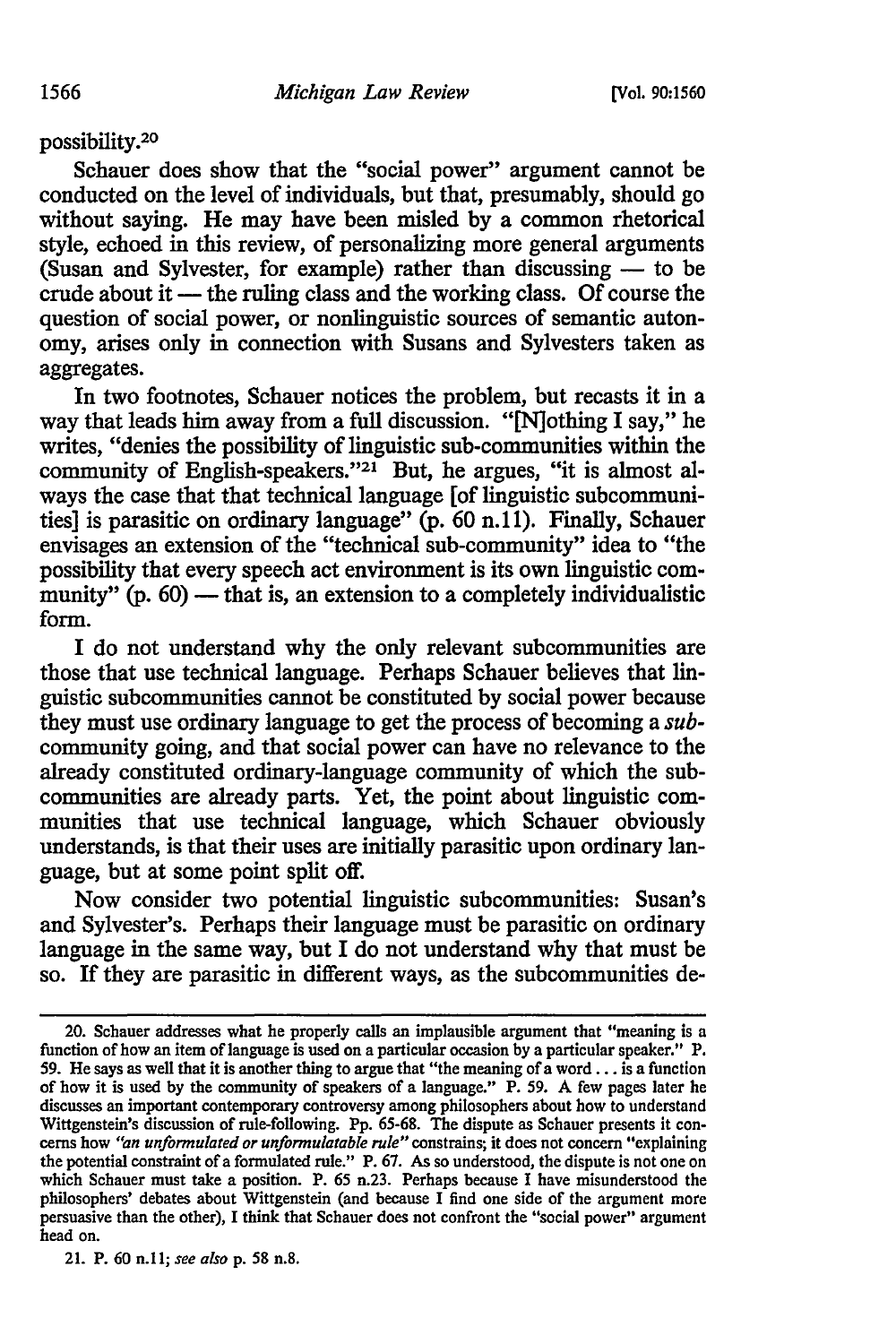possibility. 20

Schauer does show that the "social power" argument cannot be conducted on the level of individuals, but that, presumably, should go without saying. He may have been misled by a common rhetorical style, echoed in this review, of personalizing more general arguments (Susan and Sylvester, for example) rather than discussing  $-$  to be crude about it — the ruling class and the working class. Of course the question of social power, or nonlinguistic sources of semantic autonomy, arises only in connection with Susans and Sylvesters taken as aggregates.

In two footnotes, Schauer notices the problem, but recasts it in a way that leads him away from a full discussion. "[N]othing I say," he writes, "denies the possibility of linguistic sub-communities within the community of English-speakers."<sup>21</sup> But, he argues, "it is almost always the case that that technical language [of linguistic subcommunities] is parasitic on ordinary language"  $(p. 60 n.11)$ . Finally, Schauer envisages an extension of the "technical sub-community" idea to "the possibility that every speech act environment is its own linguistic community"  $(p. 60)$  — that is, an extension to a completely individualistic form.

I do not understand why the only relevant subcommunities are those that use technical language. Perhaps Schauer believes that linguistic subcommunities cannot be constituted by social power because they must use ordinary language to get the process of becoming a *sub*community going, and that social power can have no relevance to the already constituted ordinary-language community of which the subcommunities are already parts. Yet, the point about linguistic communities that use technical language, which Schauer obviously understands, is that their uses are initially parasitic upon ordinary language, but at some point split off.

Now consider two potential linguistic subcommunities: Susan's and Sylvester's. Perhaps their language must be parasitic on ordinary language in the same way, but I do not understand why that must be so. If they are parasitic in different ways, as the subcommunities de-

<sup>20.</sup> Schauer addresses what he properly calls an implausible argument that "meaning is a function of how an item of language is used on a particular occasion by a particular speaker." P. 59. He says as well that it is another thing to argue that "the meaning of a word  $\ldots$  is a function of how it is used by the community of speakers of a language." P. 59. A few pages later he discusses an important contemporary controversy among philosophers about how to understand Wittgenstein's discussion of rule-following. Pp. 65·68. The dispute as Schauer presents it con· cems how *"an unformulated or unformulatab/e rule"* constrains; it does not concern "explaining the potential constraint of a formulated rule." P. 67. As so understood, the dispute is not one on which Schauer must take a position. P. 65 n.23. Perhaps because I have misunderstood the philosophers' debates about Wittgenstein (and because I find one side of the argument more persuasive than the other), I think that Schauer does not confront the "social power" argument head on.

<sup>21.</sup> P. 60 n.11; *see also* p. 58 n.8.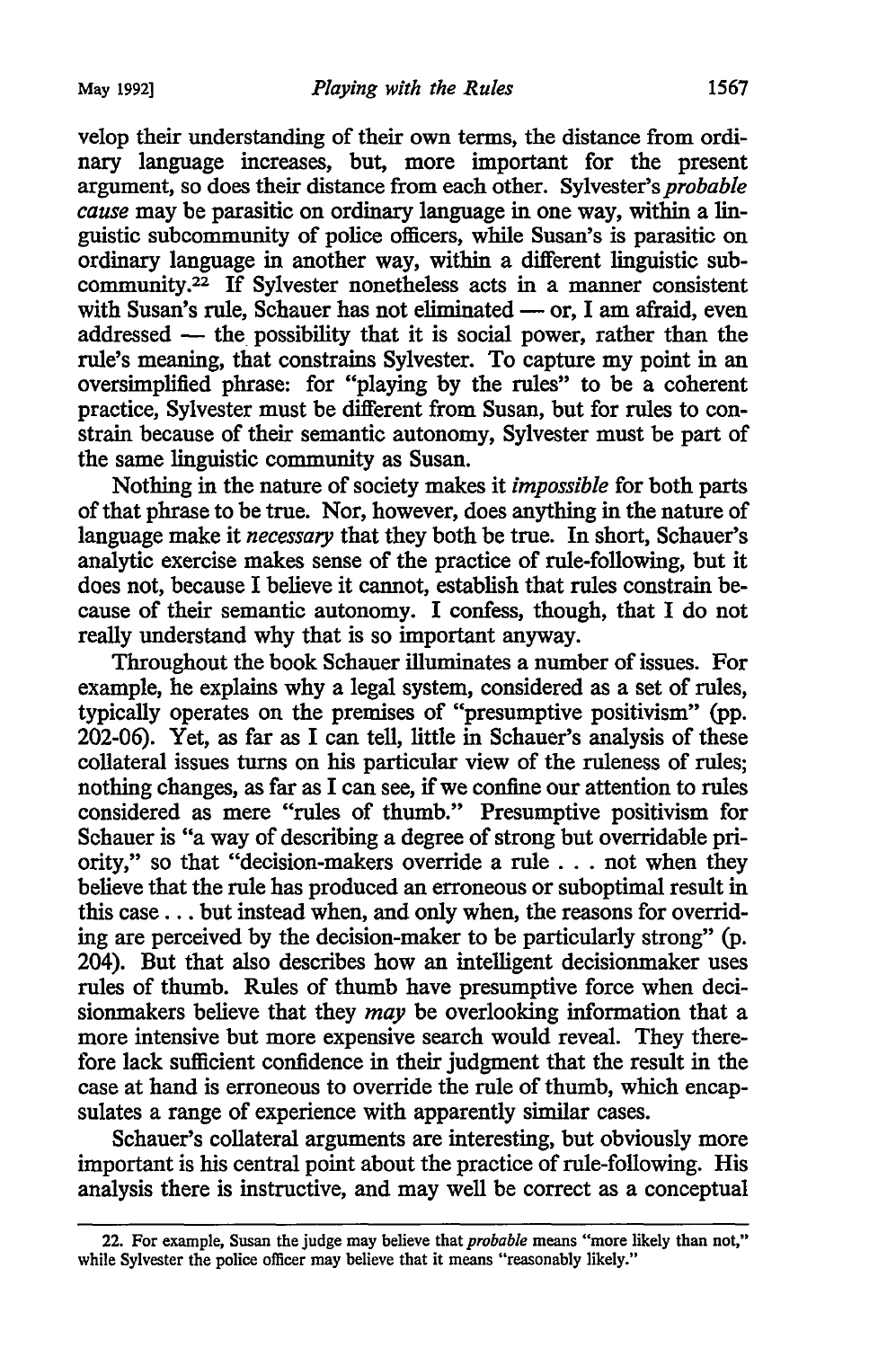velop their understanding of their own terms, the distance from ordinary language increases, but, more important for the present argument, so does their distance from each other. Sylvester's *probable cause* may be parasitic on ordinary language in one way, within a linguistic subcommunity of police officers, while Susan's is parasitic on ordinary language in another way, within a different linguistic subcommunity. 22 If Sylvester nonetheless acts in a manner consistent with Susan's rule, Schauer has not eliminated  $-$  or, I am afraid, even addressed - the possibility that it is social power, rather than the rule's meaning, that constrains Sylvester. To capture my point in an oversimplified phrase: for "playing by the rules" to be a coherent practice, Sylvester must be different from Susan, but for rules to constrain because of their semantic autonomy, Sylvester must be part of the same linguistic community as Susan.

Nothing in the nature of society makes it *impossible* for both parts of that phrase to be true. Nor, however, does anything in the nature of language make it *necessary* that they both be true. In short, Schauer's analytic exercise makes sense of the practice of rule-following, but it does not, because I believe it cannot, establish that rules constrain because of their semantic autonomy. I confess, though, that I do not really understand why that is so important anyway.

Throughout the book Schauer illuminates a number of issues. For example, he explains why a legal system, considered as a set of rules, typically operates on the premises of "presumptive positivism" (pp. 202-06). Yet, as far as I can tell, little in Schauer's analysis of these collateral issues turns on his particular view of the ruleness of rules; nothing changes, as far as I can see, if we confine our attention to rules considered as mere "rules of thumb." Presumptive positivism for Schauer is "a way of describing a degree of strong but overridable priority," so that "decision-makers override a rule ... not when they believe that the rule has produced an erroneous or suboptimal result in this case ... but instead when, and only when, the reasons for overriding are perceived by the decision-maker to be particularly strong" (p. 204). But that also describes how an intelligent decisionmaker uses rules of thumb. Rules of thumb have presumptive force when decisionmakers believe that they *may* be overlooking information that a more intensive but more expensive search would reveal. They therefore lack sufficient confidence in their judgment that the result in the case at hand is erroneous to override the rule of thumb, which encapsulates a range of experience with apparently similar cases.

Schauer's collateral arguments are interesting, but obviously more important is his central point about the practice of rule-following. His analysis there is instructive, and may well be correct as a conceptual

<sup>22.</sup> For example, Susan the judge may believe that *probable* means "more likely than not," while Sylvester the police officer may believe that it means "reasonably likely."